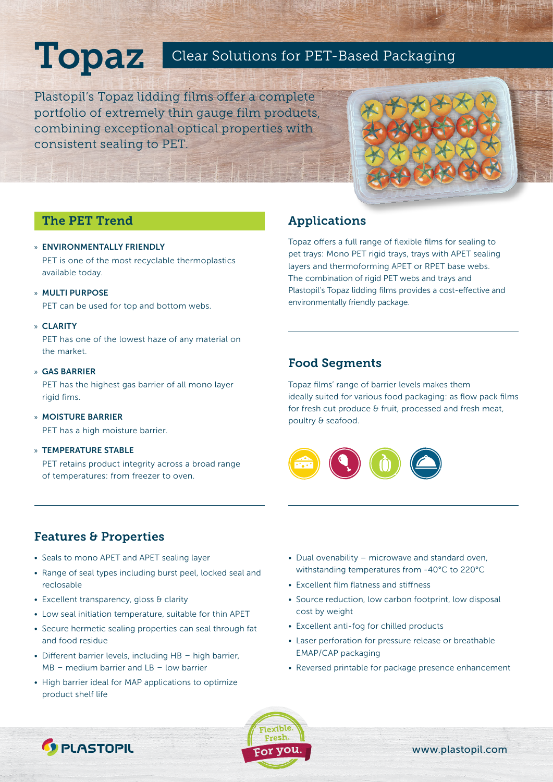# Topaz Clear Solutions for PET-Based Packaging

Plastopil's Topaz lidding films offer a complete portfolio of extremely thin gauge film products, combining exceptional optical properties with consistent sealing to PET.



## The PET Trend

### » ENVIRONMENTALLY FRIENDLY

PET is one of the most recyclable thermoplastics available today.

» MULTI PURPOSE

PET can be used for top and bottom webs.

### » CLARITY

PET has one of the lowest haze of any material on the market.

### » GAS BARRIER

PET has the highest gas barrier of all mono layer rigid fims.

» MOISTURE BARRIER PET has a high moisture barrier.

#### » TEMPERATURE STABLE

PET retains product integrity across a broad range of temperatures: from freezer to oven.

# Applications

Topaz offers a full range of flexible films for sealing to pet trays: Mono PET rigid trays, trays with APET sealing layers and thermoforming APET or RPET base webs. The combination of rigid PET webs and trays and Plastopil's Topaz lidding films provides a cost-effective and environmentally friendly package.

### Food Segments

Topaz films' range of barrier levels makes them ideally suited for various food packaging: as flow pack films for fresh cut produce & fruit, processed and fresh meat, poultry & seafood.



## Features & Properties

- Seals to mono APET and APET sealing layer
- Range of seal types including burst peel, locked seal and reclosable
- Excellent transparency, gloss & clarity

**C** PLASTOPIL

- Low seal initiation temperature, suitable for thin APET
- Secure hermetic sealing properties can seal through fat and food residue
- Different barrier levels, including HB high barrier, MB – medium barrier and LB – low barrier
- High barrier ideal for MAP applications to optimize product shelf life
- Dual ovenability microwave and standard oven, withstanding temperatures from -40°C to 220°C
- Excellent film flatness and stiffness
- Source reduction, low carbon footprint, low disposal cost by weight
- Excellent anti-fog for chilled products
- Laser perforation for pressure release or breathable EMAP/CAP packaging
- Reversed printable for package presence enhancement



www.plastopil.com